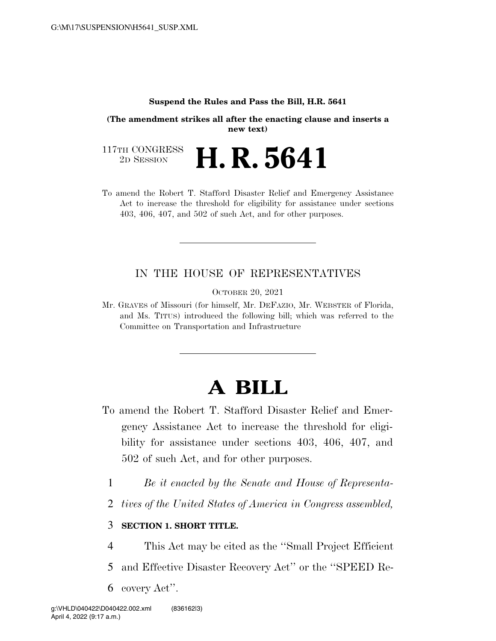#### **Suspend the Rules and Pass the Bill, H.R. 5641**

**(The amendment strikes all after the enacting clause and inserts a new text)** 

117TH CONGRESS<br>2D SESSION 2D SESSION **H. R. 5641** 

To amend the Robert T. Stafford Disaster Relief and Emergency Assistance Act to increase the threshold for eligibility for assistance under sections 403, 406, 407, and 502 of such Act, and for other purposes.

### IN THE HOUSE OF REPRESENTATIVES

OCTOBER 20, 2021

Mr. GRAVES of Missouri (for himself, Mr. DEFAZIO, Mr. WEBSTER of Florida, and Ms. TITUS) introduced the following bill; which was referred to the Committee on Transportation and Infrastructure

## **A BILL**

- To amend the Robert T. Stafford Disaster Relief and Emergency Assistance Act to increase the threshold for eligibility for assistance under sections 403, 406, 407, and 502 of such Act, and for other purposes.
	- 1 *Be it enacted by the Senate and House of Representa-*
	- 2 *tives of the United States of America in Congress assembled,*

### 3 **SECTION 1. SHORT TITLE.**

- 4 This Act may be cited as the ''Small Project Efficient
- 5 and Effective Disaster Recovery Act'' or the ''SPEED Re-
- 6 covery Act''.